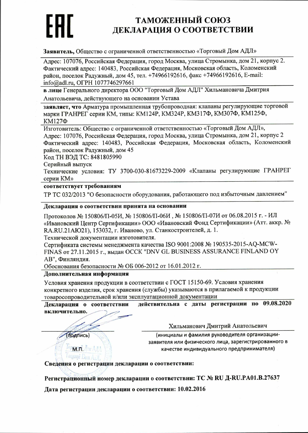# ТАМОЖЕННЫЙ СОЮЗ ДЕКЛАРАЦИЯ О СООТВЕТСТВИИ

Заявитель, Общество с ограниченной ответственностью «Торговый Дом АДЛ»

Адрес: 107076, Российская Федерация, город Москва, улица Стромынка, дом 21, корпус 2. Фактический адрес: 140483, Российская Федерация, Московская область, Коломенский район, поселок Радужный, дом 45, тел. +74966192616, факс +74966192616, E-mail: info@adl.ru, OFPH 1077746297661

в лице Генерального директора ООО "Торговый Дом АДЛ" Хильмановича Дмитрия Анатольевича, действующего на основании Устава

заявляет, что Арматура промышленная трубопроводная: клапаны регулирующие торговой марки ГРАНРЕГ серии КМ, типы: КМ124Р, КМ324Р, КМ317Ф, КМ307Ф, КМ125Ф, КМ127Ф

Изготовитель: Общество с ограниченной ответственностью «Торговый Дом АДЛ», Адрес: 107076, Российская Федерация, город Москва, улица Стромынка, дом 21, корпус 2 Фактический адрес: 140483, Российская Федерация, Московская область, Коломенский район, поселок Радужный, дом 45

Код ТН ВЭД ТС: 8481805990

Серийный выпуск

Технические условия: ТУ 3700-030-81673229-2009 «Клапаны регулирующие ГРАНРЕГ серии KM»

### соответствует требованиям

ТР ТС 032/2013 "О безопасности оборудования, работающего под избыточным давлением"

#### Декларация о соответствии принята на основании

Протоколов № 150806/П-05И, № 150806/П-06И, № 150806/П-07И от 06.08.2015 г. - ИЛ «Ивановский Центр Сертификации» ООО «Ивановский Фонд Сертификации» (Атт. аккр. № RA.RU.21AЮ21), 153032, г. Иваново, ул. Станкостроителей, д. 1.

Технической документации изготовителя.

Сертификата системы менеджмента качества ISO 9001:2008 № 190535-2015-AQ-MCW-FINAS от 27.11.2015 г., выдан ОССК "DNV GL BUSINESS ASSURANCE FINLAND OY АВ", Финляндия.

Обоснования безопасности № ОБ 006-2012 от 16.01.2012 г.

#### Дополнительная информация

Условия хранения продукции в соответствии с ГОСТ 15150-69. Условия хранения конкретного изделия, срок хранения (службы) указываются в прилагаемой к продукции товаросопроводительной и/или эксплуатационной документации

действительна с даты регистрации по 09.08.2020 Декларация о соответствии включительно.

Хильманович Дмитрий Анатольевич

(подпись)

**MTL** Jon A<sub></sub>

 $S$ ovyi Dom $A_i$ )

(инициалы и фамилия руководителя организациизаявителя или физического лица, зарегистрированного в качестве индивидуального предпринимателя)

### Сведения о регистрации декларации о соответствии:

Регистрационный номер декларации о соответствии: ТС № RU Д-RU.PA01.B.27637

Дата регистрации декларации о соответствии: 10.02.2016